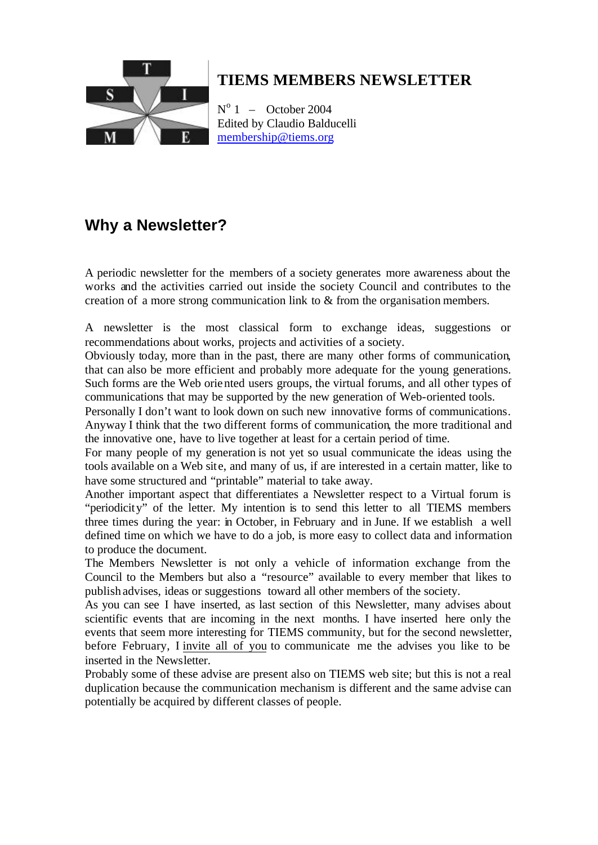

# **TIEMS MEMBERS NEWSLETTER**

 $N^{\circ}$  1 – October 2004 Edited by Claudio Balducelli membership@tiems.org

# **Why a Newsletter?**

A periodic newsletter for the members of a society generates more awareness about the works and the activities carried out inside the society Council and contributes to the creation of a more strong communication link to & from the organisation members.

A newsletter is the most classical form to exchange ideas, suggestions or recommendations about works, projects and activities of a society.

Obviously today, more than in the past, there are many other forms of communication, that can also be more efficient and probably more adequate for the young generations. Such forms are the Web oriented users groups, the virtual forums, and all other types of communications that may be supported by the new generation of Web-oriented tools.

Personally I don't want to look down on such new innovative forms of communications. Anyway I think that the two different forms of communication, the more traditional and the innovative one, have to live together at least for a certain period of time.

For many people of my generation is not yet so usual communicate the ideas using the tools available on a Web site, and many of us, if are interested in a certain matter, like to have some structured and "printable" material to take away.

Another important aspect that differentiates a Newsletter respect to a Virtual forum is "periodicity" of the letter. My intention is to send this letter to all TIEMS members three times during the year: in October, in February and in June. If we establish a well defined time on which we have to do a job, is more easy to collect data and information to produce the document.

The Members Newsletter is not only a vehicle of information exchange from the Council to the Members but also a "resource" available to every member that likes to publish advises, ideas or suggestions toward all other members of the society.

As you can see I have inserted, as last section of this Newsletter, many advises about scientific events that are incoming in the next months. I have inserted here only the events that seem more interesting for TIEMS community, but for the second newsletter, before February, I invite all of you to communicate me the advises you like to be inserted in the Newsletter.

Probably some of these advise are present also on TIEMS web site; but this is not a real duplication because the communication mechanism is different and the same advise can potentially be acquired by different classes of people.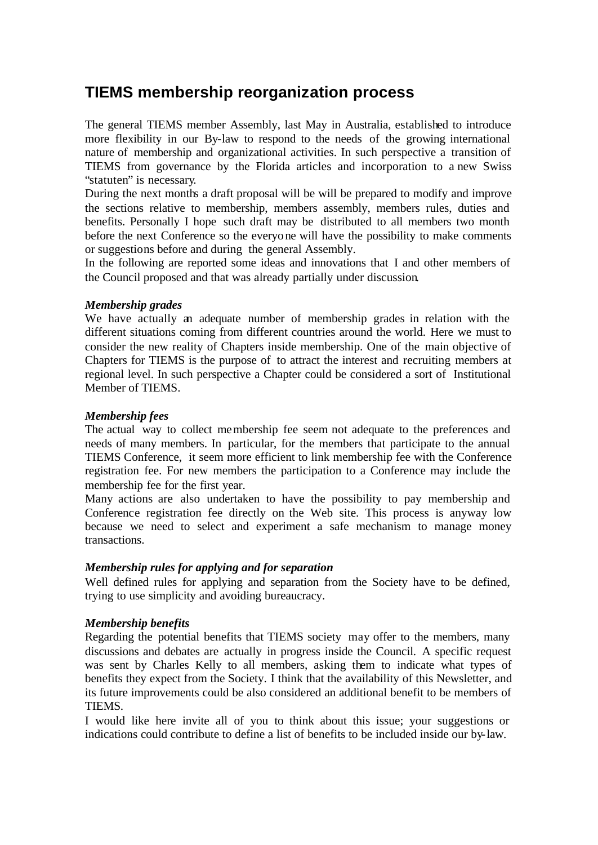# **TIEMS membership reorganization process**

The general TIEMS member Assembly, last May in Australia, established to introduce more flexibility in our By-law to respond to the needs of the growing international nature of membership and organizational activities. In such perspective a transition of TIEMS from governance by the Florida articles and incorporation to a new Swiss "statuten" is necessary.

During the next months a draft proposal will be will be prepared to modify and improve the sections relative to membership, members assembly, members rules, duties and benefits. Personally I hope such draft may be distributed to all members two month before the next Conference so the everyone will have the possibility to make comments or suggestions before and during the general Assembly.

In the following are reported some ideas and innovations that I and other members of the Council proposed and that was already partially under discussion.

#### *Membership grades*

We have actually an adequate number of membership grades in relation with the different situations coming from different countries around the world. Here we must to consider the new reality of Chapters inside membership. One of the main objective of Chapters for TIEMS is the purpose of to attract the interest and recruiting members at regional level. In such perspective a Chapter could be considered a sort of Institutional Member of TIEMS.

#### *Membership fees*

The actual way to collect membership fee seem not adequate to the preferences and needs of many members. In particular, for the members that participate to the annual TIEMS Conference, it seem more efficient to link membership fee with the Conference registration fee. For new members the participation to a Conference may include the membership fee for the first year.

Many actions are also undertaken to have the possibility to pay membership and Conference registration fee directly on the Web site. This process is anyway low because we need to select and experiment a safe mechanism to manage money transactions.

#### *Membership rules for applying and for separation*

Well defined rules for applying and separation from the Society have to be defined, trying to use simplicity and avoiding bureaucracy.

#### *Membership benefits*

Regarding the potential benefits that TIEMS society may offer to the members, many discussions and debates are actually in progress inside the Council. A specific request was sent by Charles Kelly to all members, asking them to indicate what types of benefits they expect from the Society. I think that the availability of this Newsletter, and its future improvements could be also considered an additional benefit to be members of TIEMS.

I would like here invite all of you to think about this issue; your suggestions or indications could contribute to define a list of benefits to be included inside our by-law.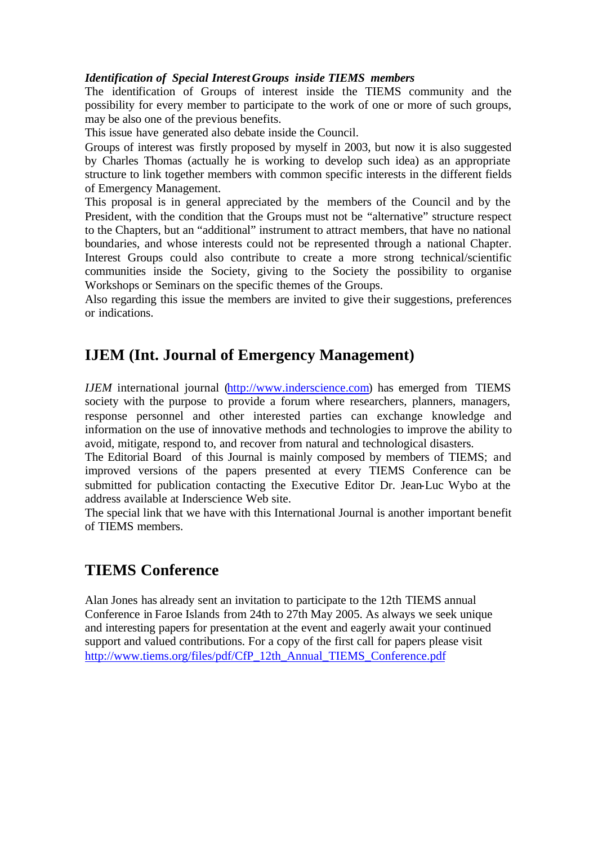#### *Identification of Special Interest Groups inside TIEMS members*

The identification of Groups of interest inside the TIEMS community and the possibility for every member to participate to the work of one or more of such groups, may be also one of the previous benefits.

This issue have generated also debate inside the Council.

Groups of interest was firstly proposed by myself in 2003, but now it is also suggested by Charles Thomas (actually he is working to develop such idea) as an appropriate structure to link together members with common specific interests in the different fields of Emergency Management.

This proposal is in general appreciated by the members of the Council and by the President, with the condition that the Groups must not be "alternative" structure respect to the Chapters, but an "additional" instrument to attract members, that have no national boundaries, and whose interests could not be represented through a national Chapter. Interest Groups could also contribute to create a more strong technical/scientific communities inside the Society, giving to the Society the possibility to organise Workshops or Seminars on the specific themes of the Groups.

Also regarding this issue the members are invited to give their suggestions, preferences or indications.

## **IJEM (Int. Journal of Emergency Management)**

*IJEM* international journal (http://www.inderscience.com) has emerged from TIEMS society with the purpose to provide a forum where researchers, planners, managers, response personnel and other interested parties can exchange knowledge and information on the use of innovative methods and technologies to improve the ability to avoid, mitigate, respond to, and recover from natural and technological disasters.

The Editorial Board of this Journal is mainly composed by members of TIEMS; and improved versions of the papers presented at every TIEMS Conference can be submitted for publication contacting the Executive Editor Dr. Jean-Luc Wybo at the address available at Inderscience Web site.

The special link that we have with this International Journal is another important benefit of TIEMS members.

## **TIEMS Conference**

Alan Jones has already sent an invitation to participate to the 12th TIEMS annual Conference in Faroe Islands from 24th to 27th May 2005. As always we seek unique and interesting papers for presentation at the event and eagerly await your continued support and valued contributions. For a copy of the first call for papers please visit http://www.tiems.org/files/pdf/CfP\_12th\_Annual\_TIEMS\_Conference.pdf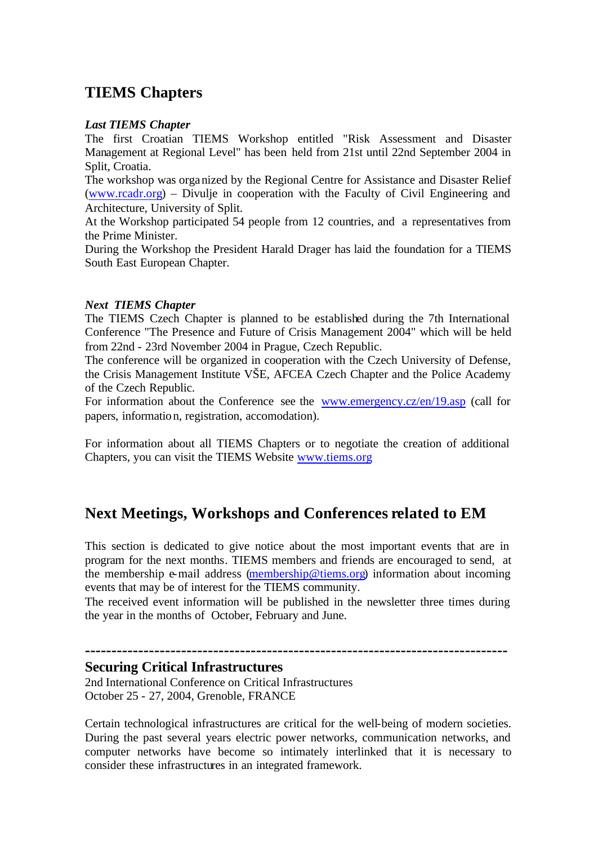## **TIEMS Chapters**

#### *Last TIEMS Chapter*

The first Croatian TIEMS Workshop entitled "Risk Assessment and Disaster Management at Regional Level" has been held from 21st until 22nd September 2004 in Split, Croatia.

The workshop was organized by the Regional Centre for Assistance and Disaster Relief (www.rcadr.org) – Divulje in cooperation with the Faculty of Civil Engineering and Architecture, University of Split.

At the Workshop participated 54 people from 12 countries, and a representatives from the Prime Minister.

During the Workshop the President Harald Drager has laid the foundation for a TIEMS South East European Chapter.

#### *Next TIEMS Chapter*

The TIEMS Czech Chapter is planned to be established during the 7th International Conference "The Presence and Future of Crisis Management 2004" which will be held from 22nd - 23rd November 2004 in Prague, Czech Republic.

The conference will be organized in cooperation with the Czech University of Defense, the Crisis Management Institute VŠE, AFCEA Czech Chapter and the Police Academy of the Czech Republic.

For information about the Conference see the www.emergency.cz/en/19.asp (call for papers, information, registration, accomodation).

For information about all TIEMS Chapters or to negotiate the creation of additional Chapters, you can visit the TIEMS Website www.tiems.org

## **Next Meetings, Workshops and Conferences related to EM**

This section is dedicated to give notice about the most important events that are in program for the next months. TIEMS members and friends are encouraged to send, at the membership e-mail address (membership@tiems.org) information about incoming events that may be of interest for the TIEMS community.

The received event information will be published in the newsletter three times during the year in the months of October, February and June.

**-------------------------------------------------------------------------------**

#### **Securing Critical Infrastructures**

2nd International Conference on Critical Infrastructures October 25 - 27, 2004, Grenoble, FRANCE

Certain technological infrastructures are critical for the well-being of modern societies. During the past several years electric power networks, communication networks, and computer networks have become so intimately interlinked that it is necessary to consider these infrastructures in an integrated framework.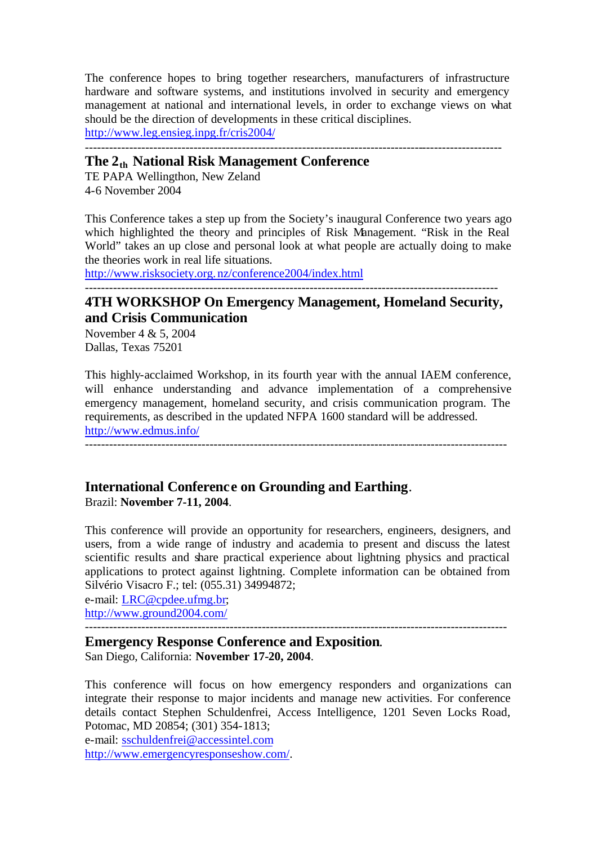The conference hopes to bring together researchers, manufacturers of infrastructure hardware and software systems, and institutions involved in security and emergency management at national and international levels, in order to exchange views on what should be the direction of developments in these critical disciplines.

http://www.leg.ensieg.inpg.fr/cris2004/

--------------------------------------------------------------------------------------------------------

### **The 2th National Risk Management Conference**

TE PAPA Wellingthon, New Zeland 4-6 November 2004

This Conference takes a step up from the Society's inaugural Conference two years ago which highlighted the theory and principles of Risk Management. "Risk in the Real World" takes an up close and personal look at what people are actually doing to make the theories work in real life situations.

http://www.risksociety.org.nz/conference2004/index.html

-------------------------------------------------------------------------------------------------------

### **4TH WORKSHOP On Emergency Management, Homeland Security, and Crisis Communication**

November 4 & 5, 2004 Dallas, Texas 75201

This highly-acclaimed Workshop, in its fourth year with the annual IAEM conference, will enhance understanding and advance implementation of a comprehensive emergency management, homeland security, and crisis communication program. The requirements, as described in the updated NFPA 1600 standard will be addressed. http://www.edmus.info/

### **International Conference on Grounding and Earthing**. Brazil: **November 7-11, 2004**.

This conference will provide an opportunity for researchers, engineers, designers, and users, from a wide range of industry and academia to present and discuss the latest scientific results and share practical experience about lightning physics and practical applications to protect against lightning. Complete information can be obtained from Silvério Visacro F.; tel: (055.31) 34994872;

e-mail: LRC@cpdee.ufmg.br; http://www.ground2004.com/

---------------------------------------------------------------------------------------------------------

**Emergency Response Conference and Exposition**. San Diego, California: **November 17-20, 2004**.

This conference will focus on how emergency responders and organizations can integrate their response to major incidents and manage new activities. For conference details contact Stephen Schuldenfrei, Access Intelligence, 1201 Seven Locks Road, Potomac, MD 20854; (301) 354-1813;

e-mail: sschuldenfrei@accessintel.com http://www.emergencyresponseshow.com/.